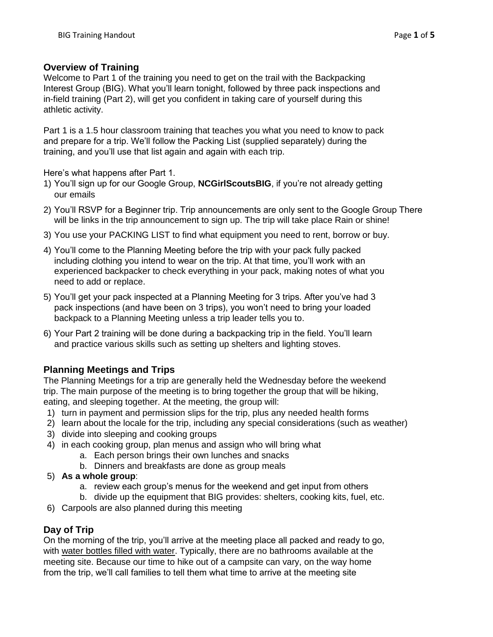### **Overview of Training**

Welcome to Part 1 of the training you need to get on the trail with the Backpacking Interest Group (BIG). What you'll learn tonight, followed by three pack inspections and in-field training (Part 2), will get you confident in taking care of yourself during this athletic activity.

Part 1 is a 1.5 hour classroom training that teaches you what you need to know to pack and prepare for a trip. We'll follow the Packing List (supplied separately) during the training, and you'll use that list again and again with each trip.

Here's what happens after Part 1.

- 1) You'll sign up for our Google Group, **NCGirlScoutsBIG**, if you're not already getting our emails
- 2) You'll RSVP for a Beginner trip. Trip announcements are only sent to the Google Group There will be links in the trip announcement to sign up. The trip will take place Rain or shine!
- 3) You use your PACKING LIST to find what equipment you need to rent, borrow or buy.
- 4) You'll come to the Planning Meeting before the trip with your pack fully packed including clothing you intend to wear on the trip. At that time, you'll work with an experienced backpacker to check everything in your pack, making notes of what you need to add or replace.
- 5) You'll get your pack inspected at a Planning Meeting for 3 trips. After you've had 3 pack inspections (and have been on 3 trips), you won't need to bring your loaded backpack to a Planning Meeting unless a trip leader tells you to.
- 6) Your Part 2 training will be done during a backpacking trip in the field. You'll learn and practice various skills such as setting up shelters and lighting stoves.

# **Planning Meetings and Trips**

The Planning Meetings for a trip are generally held the Wednesday before the weekend trip. The main purpose of the meeting is to bring together the group that will be hiking, eating, and sleeping together. At the meeting, the group will:

- 1) turn in payment and permission slips for the trip, plus any needed health forms
- 2) learn about the locale for the trip, including any special considerations (such as weather)
- 3) divide into sleeping and cooking groups
- 4) in each cooking group, plan menus and assign who will bring what
	- a. Each person brings their own lunches and snacks
	- b. Dinners and breakfasts are done as group meals
- 5) **As a whole group**:
	- a. review each group's menus for the weekend and get input from others
	- b. divide up the equipment that BIG provides: shelters, cooking kits, fuel, etc.
- 6) Carpools are also planned during this meeting

### **Day of Trip**

On the morning of the trip, you'll arrive at the meeting place all packed and ready to go, with water bottles filled with water. Typically, there are no bathrooms available at the meeting site. Because our time to hike out of a campsite can vary, on the way home from the trip, we'll call families to tell them what time to arrive at the meeting site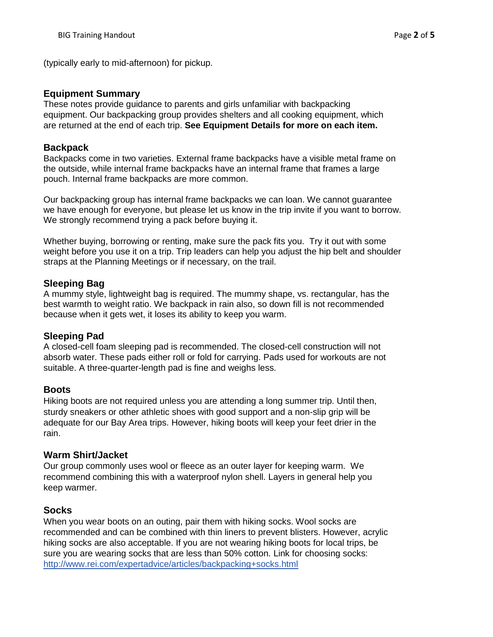(typically early to mid-afternoon) for pickup.

#### **Equipment Summary**

These notes provide guidance to parents and girls unfamiliar with backpacking equipment. Our backpacking group provides shelters and all cooking equipment, which are returned at the end of each trip. **See Equipment Details for more on each item.**

#### **Backpack**

Backpacks come in two varieties. External frame backpacks have a visible metal frame on the outside, while internal frame backpacks have an internal frame that frames a large pouch. Internal frame backpacks are more common.

Our backpacking group has internal frame backpacks we can loan. We cannot guarantee we have enough for everyone, but please let us know in the trip invite if you want to borrow. We strongly recommend trying a pack before buying it.

Whether buying, borrowing or renting, make sure the pack fits you. Try it out with some weight before you use it on a trip. Trip leaders can help you adjust the hip belt and shoulder straps at the Planning Meetings or if necessary, on the trail.

### **Sleeping Bag**

A mummy style, lightweight bag is required. The mummy shape, vs. rectangular, has the best warmth to weight ratio. We backpack in rain also, so down fill is not recommended because when it gets wet, it loses its ability to keep you warm.

### **Sleeping Pad**

A closed-cell foam sleeping pad is recommended. The closed-cell construction will not absorb water. These pads either roll or fold for carrying. Pads used for workouts are not suitable. A three-quarter-length pad is fine and weighs less.

### **Boots**

Hiking boots are not required unless you are attending a long summer trip. Until then, sturdy sneakers or other athletic shoes with good support and a non-slip grip will be adequate for our Bay Area trips. However, hiking boots will keep your feet drier in the rain.

### **Warm Shirt/Jacket**

Our group commonly uses wool or fleece as an outer layer for keeping warm. We recommend combining this with a waterproof nylon shell. Layers in general help you keep warmer.

# **Socks**

When you wear boots on an outing, pair them with hiking socks. Wool socks are recommended and can be combined with thin liners to prevent blisters. However, acrylic hiking socks are also acceptable. If you are not wearing hiking boots for local trips, be sure you are wearing socks that are less than 50% cotton. Link for choosing socks: [http://www.rei.com/expertadvice/articles/backpacking+socks.html](http://www.rei.com/expertadvice/articles/backpacking%2Bsocks.html)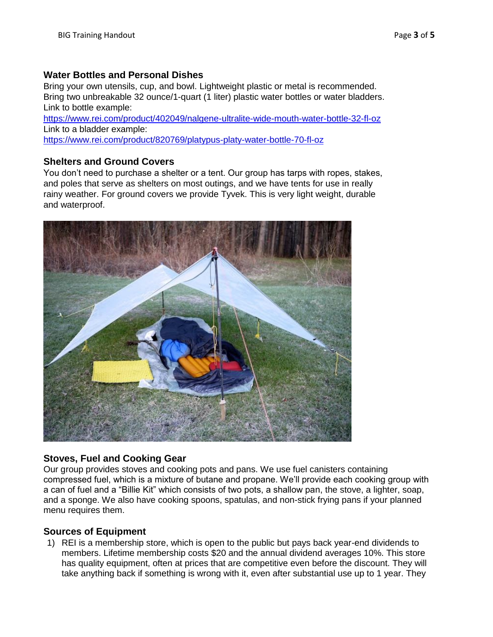### **Water Bottles and Personal Dishes**

Bring your own utensils, cup, and bowl. Lightweight plastic or metal is recommended. Bring two unbreakable 32 ounce/1-quart (1 liter) plastic water bottles or water bladders. Link to bottle example:

<https://www.rei.com/product/402049/nalgene-ultralite-wide-mouth-water-bottle-32-fl-oz> Link to a bladder example:

<https://www.rei.com/product/820769/platypus-platy-water-bottle-70-fl-oz>

### **Shelters and Ground Covers**

You don't need to purchase a shelter or a tent. Our group has tarps with ropes, stakes, and poles that serve as shelters on most outings, and we have tents for use in really rainy weather. For ground covers we provide Tyvek. This is very light weight, durable and waterproof.



### **Stoves, Fuel and Cooking Gear**

Our group provides stoves and cooking pots and pans. We use fuel canisters containing compressed fuel, which is a mixture of butane and propane. We'll provide each cooking group with a can of fuel and a "Billie Kit" which consists of two pots, a shallow pan, the stove, a lighter, soap, and a sponge. We also have cooking spoons, spatulas, and non-stick frying pans if your planned menu requires them.

### **Sources of Equipment**

1) REI is a membership store, which is open to the public but pays back year-end dividends to members. Lifetime membership costs \$20 and the annual dividend averages 10%. This store has quality equipment, often at prices that are competitive even before the discount. They will take anything back if something is wrong with it, even after substantial use up to 1 year. They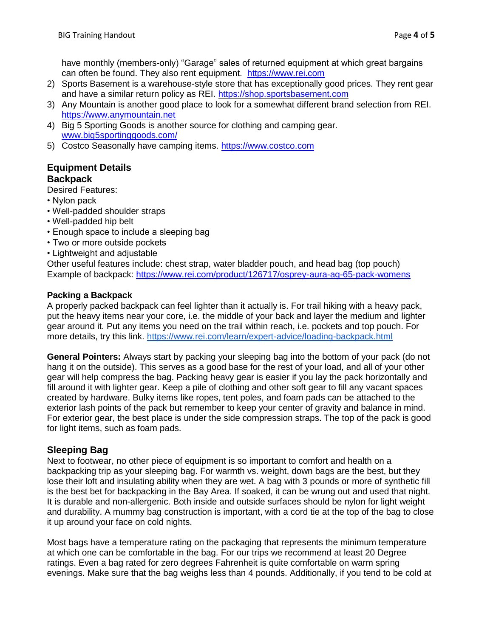have monthly (members-only) "Garage" sales of returned equipment at which great bargains can often be found. They also rent equipment. [https://www.rei.com](https://www.rei.com/)

- 2) Sports Basement is a warehouse-style store that has exceptionally good prices. They rent gear and have a similar return policy as REI. [https://shop.sportsbasement.com](https://shop.sportsbasement.com/)
- 3) Any Mountain is another good place to look for a somewhat different brand selection from REI. [https://www.anymountain.net](https://www.anymountain.net/)
- 4) Big 5 Sporting Goods is another source for clothing and camping gear. [www.big5sportinggoods.com/](http://www.big5sportinggoods.com/)
- 5) Costco Seasonally have camping items. [https://www.costco.com](https://www.costco.com/)

## **Equipment Details Backpack**

Desired Features:

- Nylon pack
- Well-padded shoulder straps
- Well-padded hip belt
- Enough space to include a sleeping bag
- Two or more outside pockets
- Lightweight and adjustable

Other useful features include: chest strap, water bladder pouch, and head bag (top pouch) Example of backpack: <https://www.rei.com/product/126717/osprey-aura-ag-65-pack-womens>

#### **Packing a Backpack**

A properly packed backpack can feel lighter than it actually is. For trail hiking with a heavy pack, put the heavy items near your core, i.e. the middle of your back and layer the medium and lighter gear around it. Put any items you need on the trail within reach, i.e. pockets and top pouch. For more details, try this link.<https://www.rei.com/learn/expert-advice/loading-backpack.html>

**General Pointers:** Always start by packing your sleeping bag into the bottom of your pack (do not hang it on the outside). This serves as a good base for the rest of your load, and all of your other gear will help compress the bag. Packing heavy gear is easier if you lay the pack horizontally and fill around it with lighter gear. Keep a pile of clothing and other soft gear to fill any vacant spaces created by hardware. Bulky items like ropes, tent poles, and foam pads can be attached to the exterior lash points of the pack but remember to keep your center of gravity and balance in mind. For exterior gear, the best place is under the side compression straps. The top of the pack is good for light items, such as foam pads.

# **Sleeping Bag**

Next to footwear, no other piece of equipment is so important to comfort and health on a backpacking trip as your sleeping bag. For warmth vs. weight, down bags are the best, but they lose their loft and insulating ability when they are wet. A bag with 3 pounds or more of synthetic fill is the best bet for backpacking in the Bay Area. If soaked, it can be wrung out and used that night. It is durable and non-allergenic. Both inside and outside surfaces should be nylon for light weight and durability. A mummy bag construction is important, with a cord tie at the top of the bag to close it up around your face on cold nights.

Most bags have a temperature rating on the packaging that represents the minimum temperature at which one can be comfortable in the bag. For our trips we recommend at least 20 Degree ratings. Even a bag rated for zero degrees Fahrenheit is quite comfortable on warm spring evenings. Make sure that the bag weighs less than 4 pounds. Additionally, if you tend to be cold at